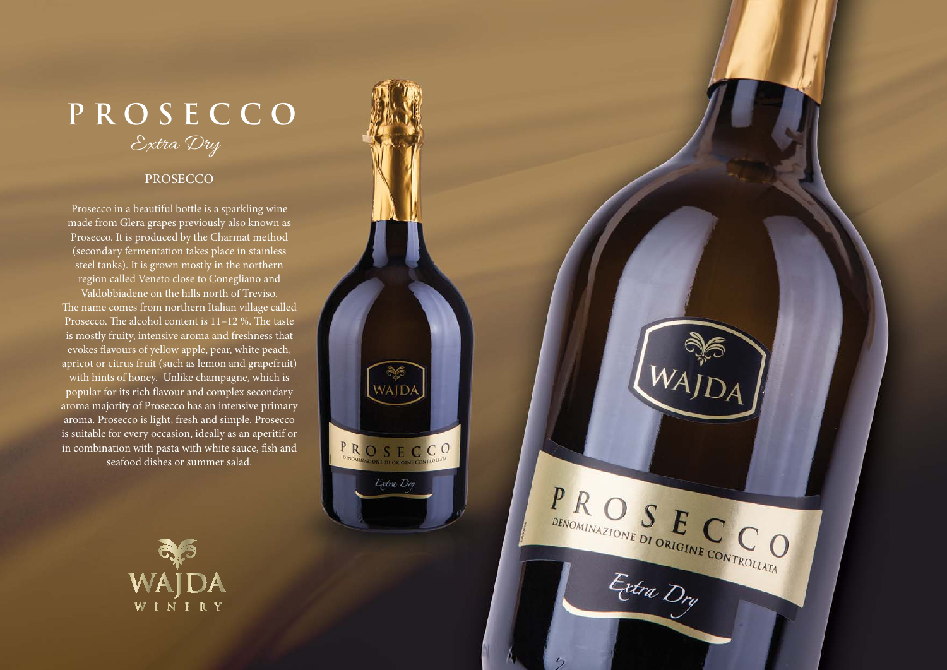## Extra Dry **PROSECCO**

#### PROSECCO

Prosecco in a beautiful bottle is a sparkling wine made from Glera grapes previously also known as Prosecco. It is produced by the Charmat method (secondary fermentation takes place in stainless steel tanks). It is grown mostly in the northern region called Veneto close to Conegliano and Valdobbiadene on the hills north of Treviso. The name comes from northern Italian village called Prosecco. The alcohol content is  $11-12$  %. The taste is mostly fruity, intensive aroma and freshness that evokes flavours of yellow apple, pear, white peach, apricot or citrus fruit (such as lemon and grapefruit) with hints of honey. Unlike champagne, which is popular for its rich flavour and complex secondary aroma majority of Prosecco has an intensive primary aroma. Prosecco is light, fresh and simple. Prosecco is suitable for every occasion, ideally as an aperitif or in combination with pasta with white sauce, fish and seafood dishes or summer salad.